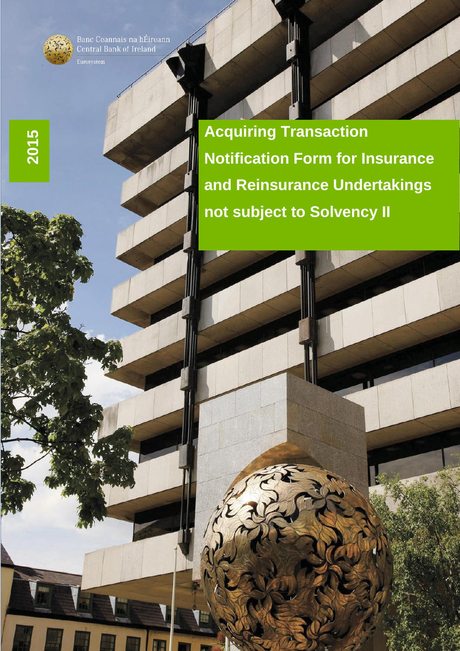Banc Ceannais na hÉireann<br>Central Bank of Ireland



**2015**

**Acquiring Transaction Notification Form for Insurance and Reinsurance Undertakings not subject to Solvency II**

1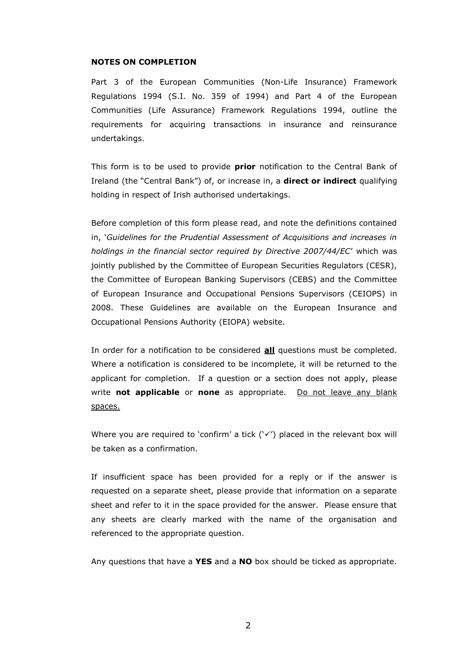#### **NOTES ON COMPLETION**

Part 3 of the European Communities (Non-Life Insurance) Framework Regulations 1994 (S.I. No. 359 of 1994) and Part 4 of the European Communities (Life Assurance) Framework Regulations 1994, outline the requirements for acquiring transactions in insurance and reinsurance undertakings.

This form is to be used to provide **prior** notification to the Central Bank of Ireland (the "Central Bank") of, or increase in, a **direct or indirect** qualifying holding in respect of Irish authorised undertakings.

Before completion of this form please read, and note the definitions contained in, '*Guidelines for the Prudential Assessment of Acquisitions and increases in holdings in the financial sector required by Directive 2007/44/EC*' which was jointly published by the Committee of European Securities Regulators (CESR), the Committee of European Banking Supervisors (CEBS) and the Committee of European Insurance and Occupational Pensions Supervisors (CEIOPS) in 2008. These Guidelines are available on the European Insurance and Occupational Pensions Authority (EIOPA) website.

In order for a notification to be considered **all** questions must be completed. Where a notification is considered to be incomplete, it will be returned to the applicant for completion. If a question or a section does not apply, please write **not applicable** or **none** as appropriate. Do not leave any blank spaces.

Where you are required to 'confirm' a tick (' $\checkmark$ ') placed in the relevant box will be taken as a confirmation.

If insufficient space has been provided for a reply or if the answer is requested on a separate sheet, please provide that information on a separate sheet and refer to it in the space provided for the answer. Please ensure that any sheets are clearly marked with the name of the organisation and referenced to the appropriate question.

Any questions that have a **YES** and a **NO** box should be ticked as appropriate.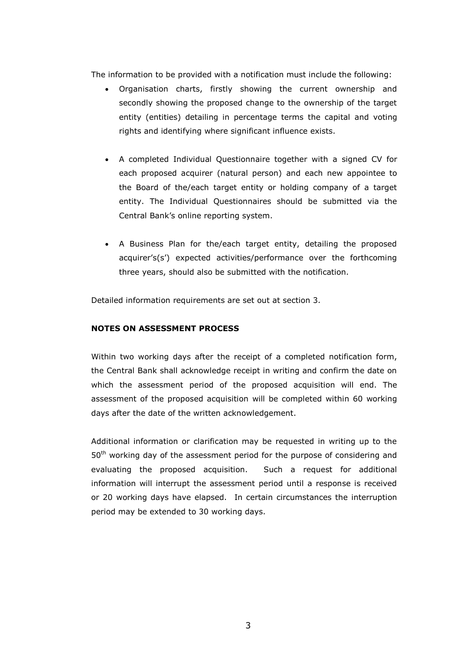The information to be provided with a notification must include the following:

- Organisation charts, firstly showing the current ownership and secondly showing the proposed change to the ownership of the target entity (entities) detailing in percentage terms the capital and voting rights and identifying where significant influence exists.
- A completed Individual Questionnaire together with a signed CV for each proposed acquirer (natural person) and each new appointee to the Board of the/each target entity or holding company of a target entity. The Individual Questionnaires should be submitted via the Central Bank's online reporting system.
- A Business Plan for the/each target entity, detailing the proposed acquirer's(s') expected activities/performance over the forthcoming three years, should also be submitted with the notification.

Detailed information requirements are set out at section 3.

#### **NOTES ON ASSESSMENT PROCESS**

Within two working days after the receipt of a completed notification form, the Central Bank shall acknowledge receipt in writing and confirm the date on which the assessment period of the proposed acquisition will end. The assessment of the proposed acquisition will be completed within 60 working days after the date of the written acknowledgement.

Additional information or clarification may be requested in writing up to the 50<sup>th</sup> working day of the assessment period for the purpose of considering and evaluating the proposed acquisition. Such a request for additional information will interrupt the assessment period until a response is received or 20 working days have elapsed. In certain circumstances the interruption period may be extended to 30 working days.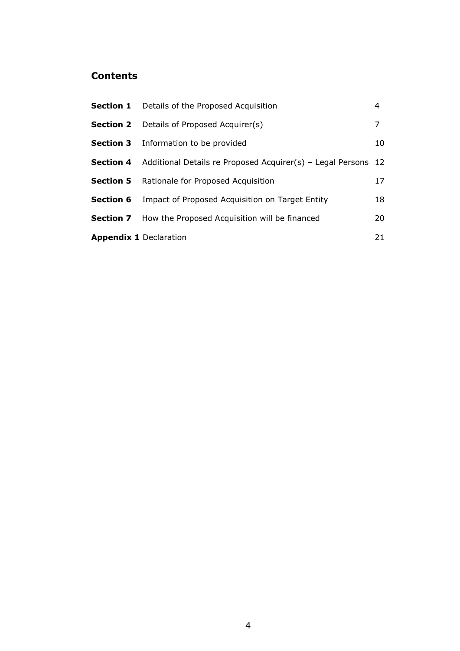## **Contents**

|                               | <b>Section 1</b> Details of the Proposed Acquisition                           | 4  |
|-------------------------------|--------------------------------------------------------------------------------|----|
|                               | <b>Section 2</b> Details of Proposed Acquirer(s)                               | 7  |
|                               | <b>Section 3</b> Information to be provided                                    | 10 |
|                               | <b>Section 4</b> Additional Details re Proposed Acquirer(s) - Legal Persons 12 |    |
|                               | <b>Section 5</b> Rationale for Proposed Acquisition                            | 17 |
| <b>Section 6</b>              | Impact of Proposed Acquisition on Target Entity                                | 18 |
|                               | <b>Section 7</b> How the Proposed Acquisition will be financed                 | 20 |
| <b>Appendix 1 Declaration</b> |                                                                                | 21 |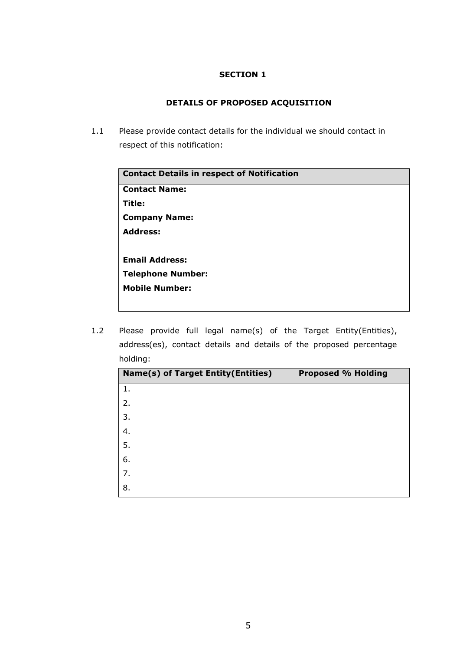## **DETAILS OF PROPOSED ACQUISITION**

1.1 Please provide contact details for the individual we should contact in respect of this notification:

| <b>Contact Details in respect of Notification</b> |
|---------------------------------------------------|
| <b>Contact Name:</b>                              |
| Title:                                            |
| <b>Company Name:</b>                              |
| <b>Address:</b>                                   |
|                                                   |
| <b>Email Address:</b>                             |
| <b>Telephone Number:</b>                          |
| <b>Mobile Number:</b>                             |
|                                                   |

1.2 Please provide full legal name(s) of the Target Entity(Entities), address(es), contact details and details of the proposed percentage holding:

| Name(s) of Target Entity(Entities) | <b>Proposed % Holding</b> |
|------------------------------------|---------------------------|
| 1.                                 |                           |
| 2.                                 |                           |
| 3.                                 |                           |
| 4.                                 |                           |
| 5.                                 |                           |
| 6.                                 |                           |
| 7.                                 |                           |
| 8.                                 |                           |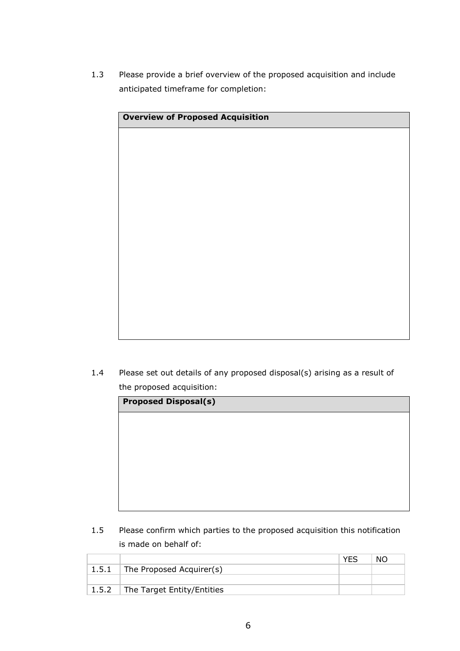1.3 Please provide a brief overview of the proposed acquisition and include anticipated timeframe for completion:

| <b>Overview of Proposed Acquisition</b> |  |  |
|-----------------------------------------|--|--|
|                                         |  |  |
|                                         |  |  |
|                                         |  |  |
|                                         |  |  |
|                                         |  |  |
|                                         |  |  |
|                                         |  |  |
|                                         |  |  |
|                                         |  |  |
|                                         |  |  |
|                                         |  |  |
|                                         |  |  |
|                                         |  |  |

1.4 Please set out details of any proposed disposal(s) arising as a result of the proposed acquisition:

| <b>Proposed Disposal(s)</b> |  |  |  |  |  |
|-----------------------------|--|--|--|--|--|
|                             |  |  |  |  |  |
|                             |  |  |  |  |  |
|                             |  |  |  |  |  |
|                             |  |  |  |  |  |
|                             |  |  |  |  |  |
|                             |  |  |  |  |  |

1.5 Please confirm which parties to the proposed acquisition this notification is made on behalf of:

|       |                                  | <b>VFS</b> | NO. |
|-------|----------------------------------|------------|-----|
| 1.5.1 | $\vert$ The Proposed Acquirer(s) |            |     |
|       |                                  |            |     |
|       | 1.5.2 The Target Entity/Entities |            |     |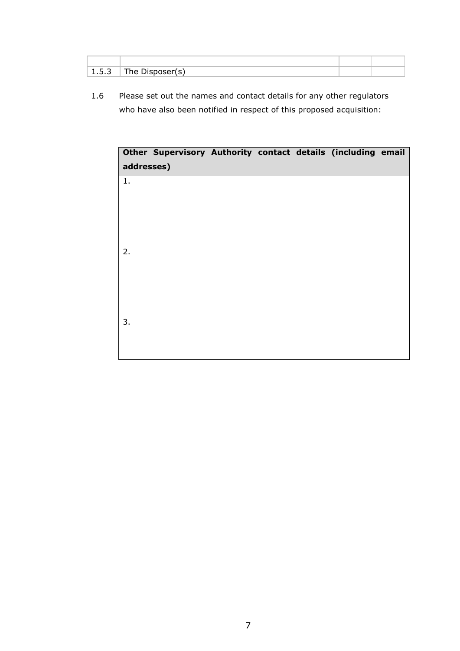| - -<br>ג - י<br>. | $\mathbf{r}$<br>.<br>____ |  |
|-------------------|---------------------------|--|

1.6 Please set out the names and contact details for any other regulators who have also been notified in respect of this proposed acquisition:

| Other Supervisory Authority contact details (including email<br>addresses) |  |  |  |
|----------------------------------------------------------------------------|--|--|--|
| 1.                                                                         |  |  |  |
|                                                                            |  |  |  |
| 2.                                                                         |  |  |  |
|                                                                            |  |  |  |
|                                                                            |  |  |  |
| 3.                                                                         |  |  |  |
|                                                                            |  |  |  |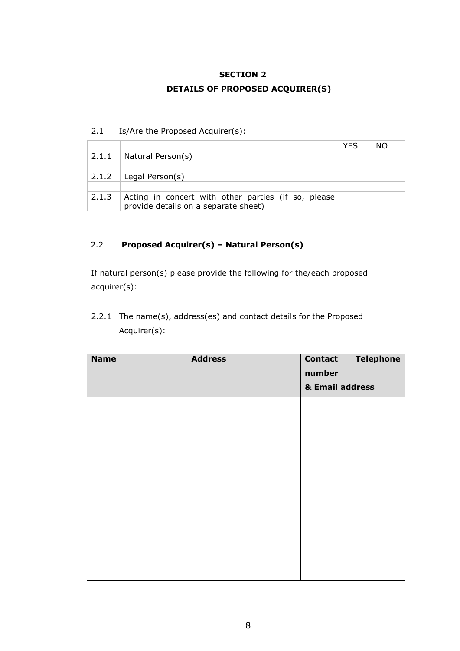## **DETAILS OF PROPOSED ACQUIRER(S)**

#### 2.1 Is/Are the Proposed Acquirer(s):

|       |                                                                                             | <b>YES</b> | NO. |
|-------|---------------------------------------------------------------------------------------------|------------|-----|
| 2.1.1 | Natural Person(s)                                                                           |            |     |
|       |                                                                                             |            |     |
|       | 2.1.2   Legal Person(s)                                                                     |            |     |
|       |                                                                                             |            |     |
| 2.1.3 | Acting in concert with other parties (if so, please<br>provide details on a separate sheet) |            |     |

## 2.2 **Proposed Acquirer(s) – Natural Person(s)**

If natural person(s) please provide the following for the/each proposed acquirer(s):

2.2.1 The name(s), address(es) and contact details for the Proposed Acquirer(s):

| <b>Name</b> | <b>Address</b> | <b>Contact</b><br><b>Telephone</b><br>number<br>& Email address |
|-------------|----------------|-----------------------------------------------------------------|
|             |                |                                                                 |
|             |                |                                                                 |
|             |                |                                                                 |
|             |                |                                                                 |
|             |                |                                                                 |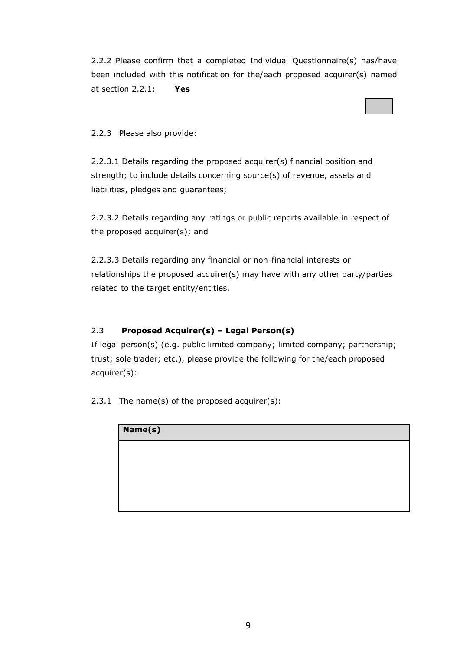2.2.2 Please confirm that a completed Individual Questionnaire(s) has/have been included with this notification for the/each proposed acquirer(s) named at section 2.2.1: **Yes**

## 2.2.3 Please also provide:

2.2.3.1 Details regarding the proposed acquirer(s) financial position and strength; to include details concerning source(s) of revenue, assets and liabilities, pledges and guarantees;

2.2.3.2 Details regarding any ratings or public reports available in respect of the proposed acquirer(s); and

2.2.3.3 Details regarding any financial or non-financial interests or relationships the proposed acquirer(s) may have with any other party/parties related to the target entity/entities.

## 2.3 **Proposed Acquirer(s) – Legal Person(s)**

If legal person(s) (e.g. public limited company; limited company; partnership; trust; sole trader; etc.), please provide the following for the/each proposed acquirer(s):

2.3.1 The name(s) of the proposed acquirer(s):

| Name(s) |  |  |
|---------|--|--|
|         |  |  |
|         |  |  |
|         |  |  |
|         |  |  |
|         |  |  |
|         |  |  |
|         |  |  |
|         |  |  |
|         |  |  |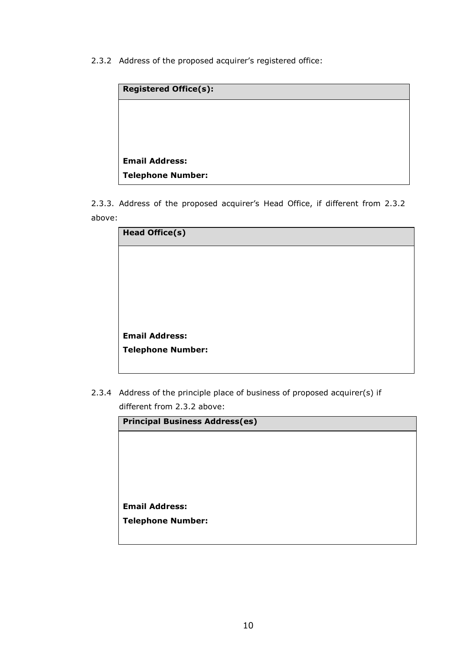2.3.2 Address of the proposed acquirer's registered office:

| <b>Registered Office(s):</b> |  |
|------------------------------|--|
|                              |  |
|                              |  |
|                              |  |
| <b>Email Address:</b>        |  |
| <b>Telephone Number:</b>     |  |

2.3.3. Address of the proposed acquirer's Head Office, if different from 2.3.2 above:

| <b>Head Office(s)</b>    |  |
|--------------------------|--|
|                          |  |
|                          |  |
|                          |  |
|                          |  |
|                          |  |
| <b>Email Address:</b>    |  |
| <b>Telephone Number:</b> |  |
|                          |  |

2.3.4 Address of the principle place of business of proposed acquirer(s) if different from 2.3.2 above:

| <b>Principal Business Address(es)</b> |  |
|---------------------------------------|--|
|                                       |  |
|                                       |  |
|                                       |  |
|                                       |  |
|                                       |  |
| <b>Email Address:</b>                 |  |
| <b>Telephone Number:</b>              |  |
|                                       |  |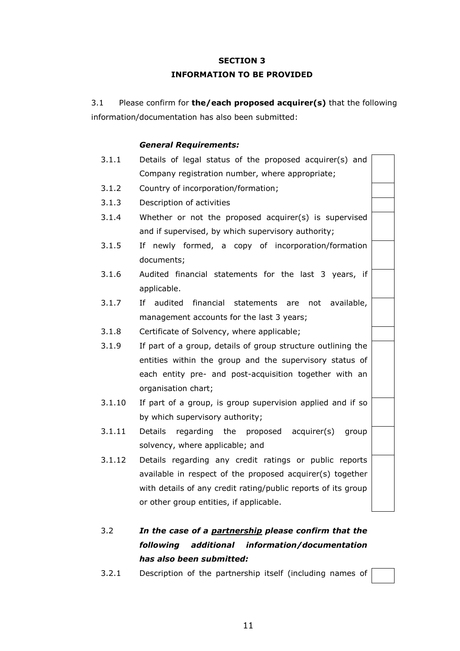#### **INFORMATION TO BE PROVIDED**

3.1 Please confirm for **the/each proposed acquirer(s)** that the following information/documentation has also been submitted:

#### *General Requirements:*

| 3.1.1  | Details of legal status of the proposed acquirer(s) and       |  |
|--------|---------------------------------------------------------------|--|
|        | Company registration number, where appropriate;               |  |
| 3.1.2  | Country of incorporation/formation;                           |  |
| 3.1.3  | Description of activities                                     |  |
| 3.1.4  | Whether or not the proposed acquirer(s) is supervised         |  |
|        | and if supervised, by which supervisory authority;            |  |
| 3.1.5  | If newly formed, a copy of incorporation/formation            |  |
|        | documents;                                                    |  |
| 3.1.6  | Audited financial statements for the last 3 years, if         |  |
|        | applicable.                                                   |  |
| 3.1.7  | financial<br>If audited<br>statements are not<br>available,   |  |
|        | management accounts for the last 3 years;                     |  |
| 3.1.8  | Certificate of Solvency, where applicable;                    |  |
| 3.1.9  | If part of a group, details of group structure outlining the  |  |
|        | entities within the group and the supervisory status of       |  |
|        | each entity pre- and post-acquisition together with an        |  |
|        | organisation chart;                                           |  |
| 3.1.10 | If part of a group, is group supervision applied and if so    |  |
|        | by which supervisory authority;                               |  |
| 3.1.11 | Details regarding the proposed acquirer(s)<br>group           |  |
|        | solvency, where applicable; and                               |  |
| 3.1.12 | Details regarding any credit ratings or public reports        |  |
|        | available in respect of the proposed acquirer(s) together     |  |
|        | with details of any credit rating/public reports of its group |  |
|        | or other group entities, if applicable.                       |  |

- 3.2 *In the case of a partnership please confirm that the following additional information/documentation has also been submitted:*
- 3.2.1 Description of the partnership itself (including names of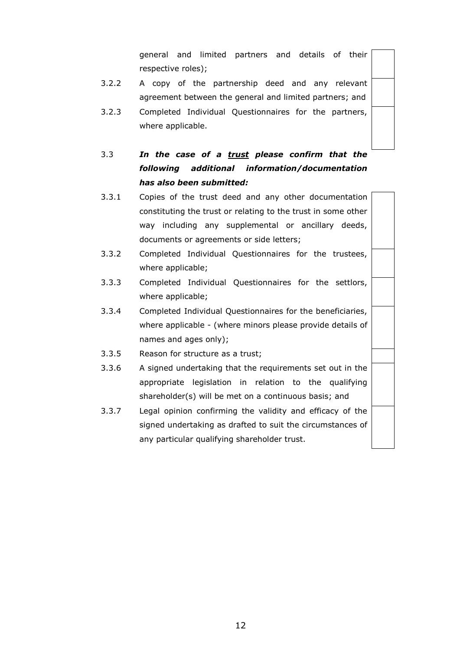general and limited partners and details of their respective roles);

- 3.2.2 A copy of the partnership deed and any relevant agreement between the general and limited partners; and
- 3.2.3 Completed Individual Questionnaires for the partners, where applicable.
- 3.3 *In the case of a trust please confirm that the following additional information/documentation has also been submitted:*
- 3.3.1 Copies of the trust deed and any other documentation constituting the trust or relating to the trust in some other way including any supplemental or ancillary deeds, documents or agreements or side letters;
- 3.3.2 Completed Individual Questionnaires for the trustees, where applicable;
- 3.3.3 Completed Individual Questionnaires for the settlors, where applicable;
- 3.3.4 Completed Individual Questionnaires for the beneficiaries, where applicable - (where minors please provide details of names and ages only);
- 3.3.5 Reason for structure as a trust;
- 3.3.6 A signed undertaking that the requirements set out in the appropriate legislation in relation to the qualifying shareholder(s) will be met on a continuous basis; and
- 3.3.7 Legal opinion confirming the validity and efficacy of the signed undertaking as drafted to suit the circumstances of any particular qualifying shareholder trust.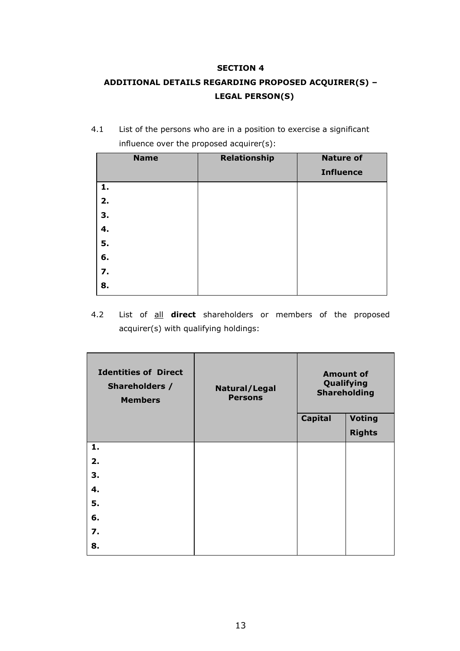# **ADDITIONAL DETAILS REGARDING PROPOSED ACQUIRER(S) – LEGAL PERSON(S)**

4.1 List of the persons who are in a position to exercise a significant influence over the proposed acquirer(s):

| <b>Name</b> | <b>Relationship</b> | <b>Nature of</b> |
|-------------|---------------------|------------------|
|             |                     | <b>Influence</b> |
| 1.          |                     |                  |
| 2.          |                     |                  |
| 3.          |                     |                  |
| 4.          |                     |                  |
| 5.          |                     |                  |
| 6.          |                     |                  |
| 7.          |                     |                  |
| 8.          |                     |                  |

4.2 List of all **direct** shareholders or members of the proposed acquirer(s) with qualifying holdings:

| <b>Identities of Direct</b><br>Shareholders /<br><b>Members</b> | Natural/Legal<br><b>Persons</b> | <b>Amount of</b><br>Qualifying<br><b>Shareholding</b> |               |
|-----------------------------------------------------------------|---------------------------------|-------------------------------------------------------|---------------|
|                                                                 |                                 | <b>Capital</b>                                        | <b>Voting</b> |
|                                                                 |                                 |                                                       | <b>Rights</b> |
| 1.                                                              |                                 |                                                       |               |
| 2.                                                              |                                 |                                                       |               |
| З.                                                              |                                 |                                                       |               |
| 4.                                                              |                                 |                                                       |               |
| 5.                                                              |                                 |                                                       |               |
| 6.                                                              |                                 |                                                       |               |
| 7.                                                              |                                 |                                                       |               |
| 8.                                                              |                                 |                                                       |               |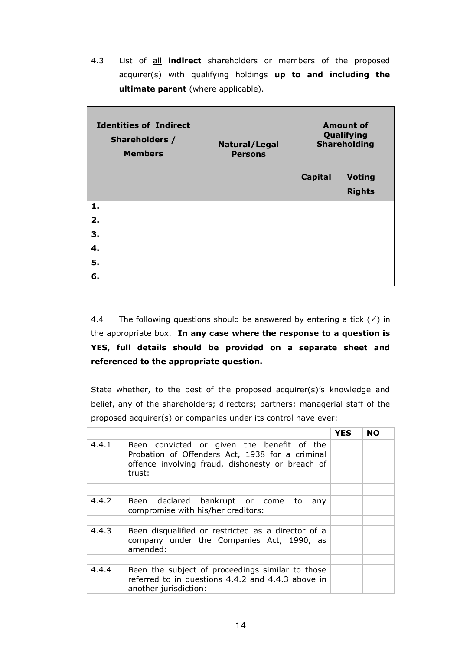4.3 List of all **indirect** shareholders or members of the proposed acquirer(s) with qualifying holdings **up to and including the ultimate parent** (where applicable).

| <b>Identities of Indirect</b><br>Shareholders /<br><b>Members</b> | Natural/Legal<br><b>Persons</b> | <b>Amount of</b><br>Qualifying<br><b>Shareholding</b> |               |
|-------------------------------------------------------------------|---------------------------------|-------------------------------------------------------|---------------|
|                                                                   |                                 | <b>Capital</b>                                        | <b>Voting</b> |
|                                                                   |                                 |                                                       | <b>Rights</b> |
| 1.                                                                |                                 |                                                       |               |
| 2.                                                                |                                 |                                                       |               |
| З.                                                                |                                 |                                                       |               |
| 4.                                                                |                                 |                                                       |               |
| 5.                                                                |                                 |                                                       |               |
| 6.                                                                |                                 |                                                       |               |

4.4 The following questions should be answered by entering a tick  $(\checkmark)$  in the appropriate box. **In any case where the response to a question is YES, full details should be provided on a separate sheet and referenced to the appropriate question.**

State whether, to the best of the proposed acquirer(s)'s knowledge and belief, any of the shareholders; directors; partners; managerial staff of the proposed acquirer(s) or companies under its control have ever:

|       |                                                                                                                                                             | <b>YES</b> | <b>NO</b> |
|-------|-------------------------------------------------------------------------------------------------------------------------------------------------------------|------------|-----------|
| 4.4.1 | Been convicted or given the benefit of the<br>Probation of Offenders Act, 1938 for a criminal<br>offence involving fraud, dishonesty or breach of<br>trust: |            |           |
|       |                                                                                                                                                             |            |           |
| 4.4.2 | Been declared bankrupt or come to<br>any<br>compromise with his/her creditors:                                                                              |            |           |
|       |                                                                                                                                                             |            |           |
| 4.4.3 | Been disqualified or restricted as a director of a<br>company under the Companies Act, 1990, as<br>amended:                                                 |            |           |
|       |                                                                                                                                                             |            |           |
| 4.4.4 | Been the subject of proceedings similar to those<br>referred to in questions 4.4.2 and 4.4.3 above in<br>another jurisdiction:                              |            |           |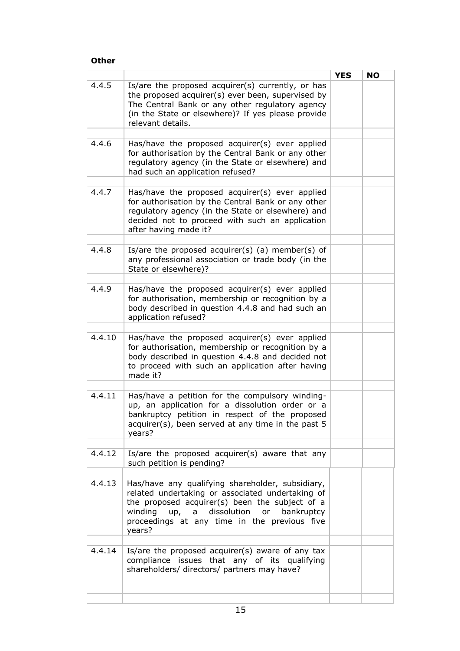#### **Other**

|        |                                                                                                                                                                                                                                                             | <b>YES</b> | <b>NO</b> |
|--------|-------------------------------------------------------------------------------------------------------------------------------------------------------------------------------------------------------------------------------------------------------------|------------|-----------|
| 4.4.5  | Is/are the proposed acquirer(s) currently, or has<br>the proposed acquirer(s) ever been, supervised by<br>The Central Bank or any other regulatory agency<br>(in the State or elsewhere)? If yes please provide<br>relevant details.                        |            |           |
|        |                                                                                                                                                                                                                                                             |            |           |
| 4.4.6  | Has/have the proposed acquirer(s) ever applied<br>for authorisation by the Central Bank or any other<br>regulatory agency (in the State or elsewhere) and<br>had such an application refused?                                                               |            |           |
| 4.4.7  | Has/have the proposed acquirer(s) ever applied<br>for authorisation by the Central Bank or any other<br>regulatory agency (in the State or elsewhere) and<br>decided not to proceed with such an application<br>after having made it?                       |            |           |
| 4.4.8  | Is/are the proposed acquirer(s) (a) member(s) of<br>any professional association or trade body (in the<br>State or elsewhere)?                                                                                                                              |            |           |
| 4.4.9  | Has/have the proposed acquirer(s) ever applied<br>for authorisation, membership or recognition by a<br>body described in question 4.4.8 and had such an<br>application refused?                                                                             |            |           |
| 4.4.10 | Has/have the proposed acquirer(s) ever applied<br>for authorisation, membership or recognition by a<br>body described in question 4.4.8 and decided not<br>to proceed with such an application after having<br>made it?                                     |            |           |
| 4.4.11 | Has/have a petition for the compulsory winding-<br>up, an application for a dissolution order or a<br>bankruptcy petition in respect of the proposed<br>acquirer(s), been served at any time in the past 5<br>years?                                        |            |           |
| 4.4.12 | Is/are the proposed acquirer(s) aware that any<br>such petition is pending?                                                                                                                                                                                 |            |           |
| 4.4.13 | Has/have any qualifying shareholder, subsidiary,<br>related undertaking or associated undertaking of<br>the proposed acquirer(s) been the subject of a<br>winding up, a dissolution or bankruptcy<br>proceedings at any time in the previous five<br>years? |            |           |
| 4.4.14 | Is/are the proposed acquirer(s) aware of any tax<br>compliance issues that any of its qualifying<br>shareholders/ directors/ partners may have?                                                                                                             |            |           |
|        |                                                                                                                                                                                                                                                             |            |           |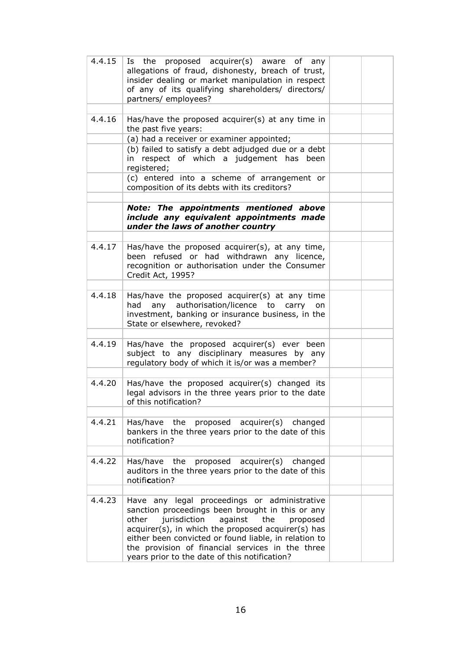| 4.4.15 | Is the proposed acquirer(s) aware of any<br>allegations of fraud, dishonesty, breach of trust,<br>insider dealing or market manipulation in respect<br>of any of its qualifying shareholders/ directors/<br>partners/ employees?                                                                                                                                            |  |
|--------|-----------------------------------------------------------------------------------------------------------------------------------------------------------------------------------------------------------------------------------------------------------------------------------------------------------------------------------------------------------------------------|--|
| 4.4.16 | Has/have the proposed acquirer(s) at any time in<br>the past five years:                                                                                                                                                                                                                                                                                                    |  |
|        | (a) had a receiver or examiner appointed;                                                                                                                                                                                                                                                                                                                                   |  |
|        | (b) failed to satisfy a debt adjudged due or a debt<br>in respect of which a judgement has been<br>registered;                                                                                                                                                                                                                                                              |  |
|        | (c) entered into a scheme of arrangement or<br>composition of its debts with its creditors?                                                                                                                                                                                                                                                                                 |  |
|        | Note: The appointments mentioned above<br>include any equivalent appointments made<br>under the laws of another country                                                                                                                                                                                                                                                     |  |
| 4.4.17 | Has/have the proposed acquirer(s), at any time,<br>been refused or had withdrawn any licence,<br>recognition or authorisation under the Consumer<br>Credit Act, 1995?                                                                                                                                                                                                       |  |
| 4.4.18 | Has/have the proposed acquirer(s) at any time<br>any authorisation/licence to carry<br>had<br>on<br>investment, banking or insurance business, in the<br>State or elsewhere, revoked?                                                                                                                                                                                       |  |
| 4.4.19 | Has/have the proposed acquirer(s) ever been<br>subject to any disciplinary measures by any<br>regulatory body of which it is/or was a member?                                                                                                                                                                                                                               |  |
| 4.4.20 | Has/have the proposed acquirer(s) changed its<br>legal advisors in the three years prior to the date<br>of this notification?                                                                                                                                                                                                                                               |  |
| 4.4.21 | Has/have the<br>proposed acquirer(s) changed<br>bankers in the three years prior to the date of this<br>notification?                                                                                                                                                                                                                                                       |  |
| 4.4.22 | Has/have the<br>proposed acquirer(s) changed<br>auditors in the three years prior to the date of this<br>notification?                                                                                                                                                                                                                                                      |  |
| 4.4.23 | Have any legal proceedings or administrative<br>sanction proceedings been brought in this or any<br>jurisdiction<br>against<br>the<br>proposed<br>other<br>acquirer(s), in which the proposed acquirer(s) has<br>either been convicted or found liable, in relation to<br>the provision of financial services in the three<br>years prior to the date of this notification? |  |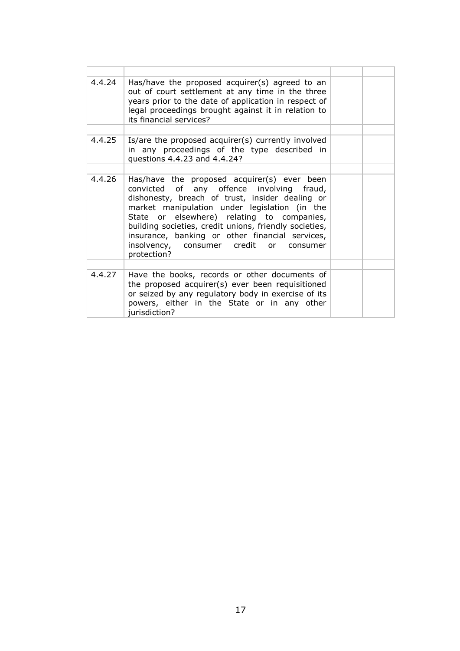| 4.4.24 | Has/have the proposed acquirer(s) agreed to an<br>out of court settlement at any time in the three<br>years prior to the date of application in respect of<br>legal proceedings brought against it in relation to<br>its financial services?                                                                                                                                                                      |  |
|--------|-------------------------------------------------------------------------------------------------------------------------------------------------------------------------------------------------------------------------------------------------------------------------------------------------------------------------------------------------------------------------------------------------------------------|--|
|        |                                                                                                                                                                                                                                                                                                                                                                                                                   |  |
| 4.4.25 | Is/are the proposed acquirer(s) currently involved<br>in any proceedings of the type described in<br>questions 4.4.23 and 4.4.24?                                                                                                                                                                                                                                                                                 |  |
|        |                                                                                                                                                                                                                                                                                                                                                                                                                   |  |
| 4.4.26 | Has/have the proposed acquirer(s) ever been<br>convicted of any offence involving fraud,<br>dishonesty, breach of trust, insider dealing or<br>market manipulation under legislation (in the<br>State or elsewhere) relating to companies,<br>building societies, credit unions, friendly societies,<br>insurance, banking or other financial services,<br>insolvency, consumer credit or consumer<br>protection? |  |
| 4.4.27 | Have the books, records or other documents of<br>the proposed acquirer(s) ever been requisitioned<br>or seized by any regulatory body in exercise of its<br>powers, either in the State or in any other<br>jurisdiction?                                                                                                                                                                                          |  |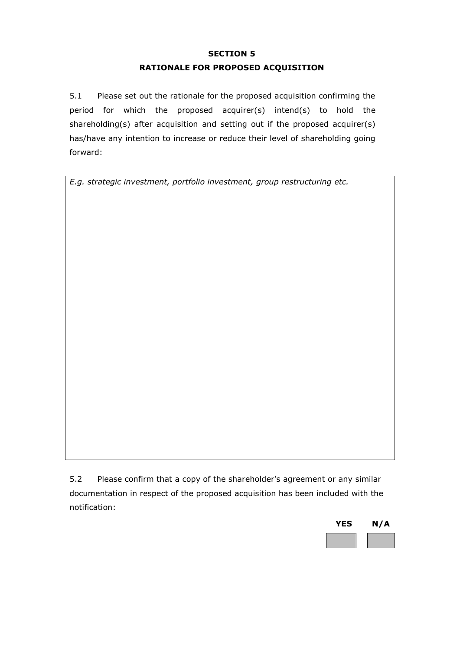## **RATIONALE FOR PROPOSED ACQUISITION**

5.1 Please set out the rationale for the proposed acquisition confirming the period for which the proposed acquirer(s) intend(s) to hold the shareholding(s) after acquisition and setting out if the proposed acquirer(s) has/have any intention to increase or reduce their level of shareholding going forward:

*E.g. strategic investment, portfolio investment, group restructuring etc.*

5.2 Please confirm that a copy of the shareholder's agreement or any similar documentation in respect of the proposed acquisition has been included with the notification:

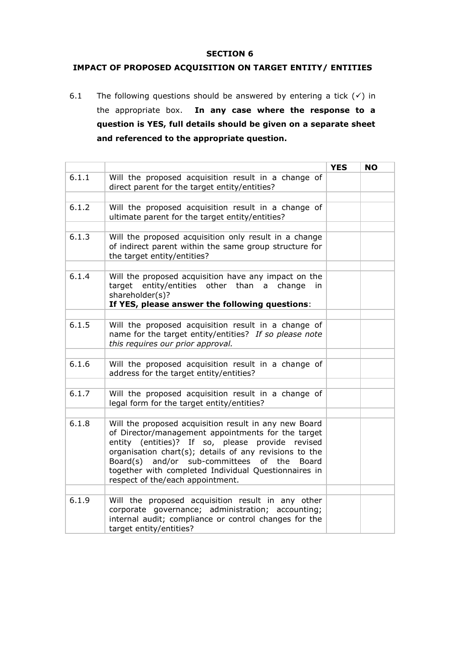#### **IMPACT OF PROPOSED ACQUISITION ON TARGET ENTITY/ ENTITIES**

6.1 The following questions should be answered by entering a tick  $(\checkmark)$  in the appropriate box. **In any case where the response to a question is YES, full details should be given on a separate sheet and referenced to the appropriate question.**

|       |                                                                                                                                                                                                                                                                                                                                                                            | <b>YES</b> | <b>NO</b> |
|-------|----------------------------------------------------------------------------------------------------------------------------------------------------------------------------------------------------------------------------------------------------------------------------------------------------------------------------------------------------------------------------|------------|-----------|
| 6.1.1 | Will the proposed acquisition result in a change of<br>direct parent for the target entity/entities?                                                                                                                                                                                                                                                                       |            |           |
|       |                                                                                                                                                                                                                                                                                                                                                                            |            |           |
| 6.1.2 | Will the proposed acquisition result in a change of<br>ultimate parent for the target entity/entities?                                                                                                                                                                                                                                                                     |            |           |
|       |                                                                                                                                                                                                                                                                                                                                                                            |            |           |
| 6.1.3 | Will the proposed acquisition only result in a change<br>of indirect parent within the same group structure for<br>the target entity/entities?                                                                                                                                                                                                                             |            |           |
|       |                                                                                                                                                                                                                                                                                                                                                                            |            |           |
| 6.1.4 | Will the proposed acquisition have any impact on the<br>target entity/entities other than a change in<br>shareholder(s)?                                                                                                                                                                                                                                                   |            |           |
|       | If YES, please answer the following questions:                                                                                                                                                                                                                                                                                                                             |            |           |
|       |                                                                                                                                                                                                                                                                                                                                                                            |            |           |
| 6.1.5 | Will the proposed acquisition result in a change of<br>name for the target entity/entities? If so please note<br>this requires our prior approval.                                                                                                                                                                                                                         |            |           |
|       |                                                                                                                                                                                                                                                                                                                                                                            |            |           |
| 6.1.6 | Will the proposed acquisition result in a change of<br>address for the target entity/entities?                                                                                                                                                                                                                                                                             |            |           |
|       |                                                                                                                                                                                                                                                                                                                                                                            |            |           |
| 6.1.7 | Will the proposed acquisition result in a change of<br>legal form for the target entity/entities?                                                                                                                                                                                                                                                                          |            |           |
|       |                                                                                                                                                                                                                                                                                                                                                                            |            |           |
| 6.1.8 | Will the proposed acquisition result in any new Board<br>of Director/management appointments for the target<br>entity (entities)? If so, please provide revised<br>organisation chart(s); details of any revisions to the<br>and/or sub-committees of the<br>Board(s)<br>Board<br>together with completed Individual Questionnaires in<br>respect of the/each appointment. |            |           |
|       |                                                                                                                                                                                                                                                                                                                                                                            |            |           |
| 6.1.9 | Will the proposed acquisition result in any other<br>corporate governance; administration; accounting;<br>internal audit; compliance or control changes for the<br>target entity/entities?                                                                                                                                                                                 |            |           |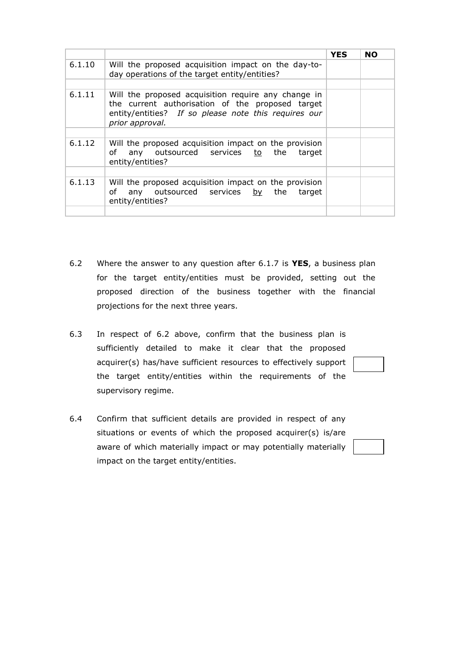|        |                                                                                                                                                                                    | <b>YES</b> | <b>NO</b> |
|--------|------------------------------------------------------------------------------------------------------------------------------------------------------------------------------------|------------|-----------|
| 6.1.10 | Will the proposed acquisition impact on the day-to-<br>day operations of the target entity/entities?                                                                               |            |           |
|        |                                                                                                                                                                                    |            |           |
| 6.1.11 | Will the proposed acquisition require any change in<br>the current authorisation of the proposed target<br>entity/entities? If so please note this requires our<br>prior approval. |            |           |
|        |                                                                                                                                                                                    |            |           |
| 6.1.12 | Will the proposed acquisition impact on the provision<br>any outsourced services to the target<br>of<br>entity/entities?                                                           |            |           |
|        |                                                                                                                                                                                    |            |           |
| 6.1.13 | Will the proposed acquisition impact on the provision<br>any outsourced services by the target<br>of<br>entity/entities?                                                           |            |           |
|        |                                                                                                                                                                                    |            |           |

- 6.2 Where the answer to any question after 6.1.7 is **YES**, a business plan for the target entity/entities must be provided, setting out the proposed direction of the business together with the financial projections for the next three years.
- 6.3 In respect of 6.2 above, confirm that the business plan is sufficiently detailed to make it clear that the proposed acquirer(s) has/have sufficient resources to effectively support the target entity/entities within the requirements of the supervisory regime.
- 6.4 Confirm that sufficient details are provided in respect of any situations or events of which the proposed acquirer(s) is/are aware of which materially impact or may potentially materially impact on the target entity/entities.

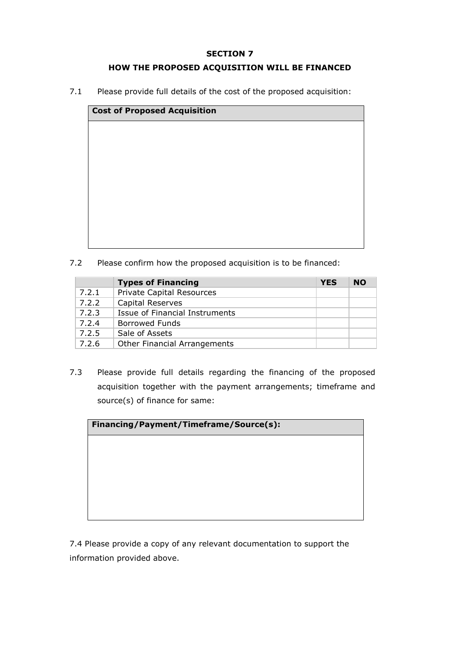#### **HOW THE PROPOSED ACQUISITION WILL BE FINANCED**

7.1 Please provide full details of the cost of the proposed acquisition:

| <b>Cost of Proposed Acquisition</b> |  |  |  |  |  |  |
|-------------------------------------|--|--|--|--|--|--|
|                                     |  |  |  |  |  |  |
|                                     |  |  |  |  |  |  |
|                                     |  |  |  |  |  |  |
|                                     |  |  |  |  |  |  |
|                                     |  |  |  |  |  |  |
|                                     |  |  |  |  |  |  |
|                                     |  |  |  |  |  |  |
|                                     |  |  |  |  |  |  |

7.2 Please confirm how the proposed acquisition is to be financed:

|       | <b>Types of Financing</b>           | <b>YES</b> | <b>NO</b> |
|-------|-------------------------------------|------------|-----------|
| 7.2.1 | <b>Private Capital Resources</b>    |            |           |
| 7.2.2 | <b>Capital Reserves</b>             |            |           |
| 7.2.3 | Issue of Financial Instruments      |            |           |
| 7.2.4 | <b>Borrowed Funds</b>               |            |           |
| 7.2.5 | Sale of Assets                      |            |           |
| 7.2.6 | <b>Other Financial Arrangements</b> |            |           |

7.3 Please provide full details regarding the financing of the proposed acquisition together with the payment arrangements; timeframe and source(s) of finance for same:

| Financing/Payment/Timeframe/Source(s): |  |  |  |  |  |  |
|----------------------------------------|--|--|--|--|--|--|
|                                        |  |  |  |  |  |  |
|                                        |  |  |  |  |  |  |
|                                        |  |  |  |  |  |  |
|                                        |  |  |  |  |  |  |
|                                        |  |  |  |  |  |  |

7.4 Please provide a copy of any relevant documentation to support the information provided above.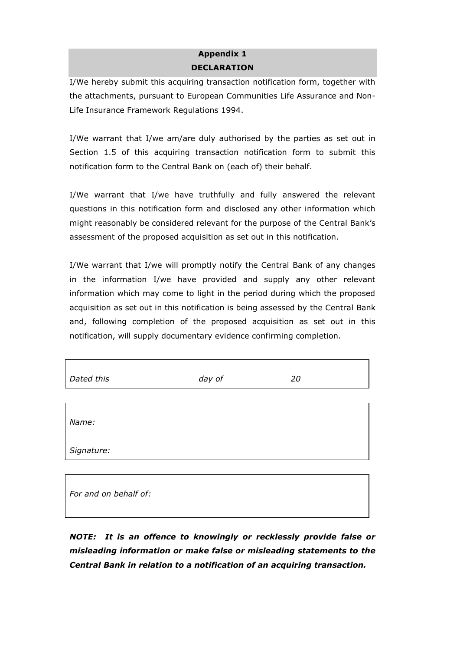## **Appendix 1 DECLARATION**

I/We hereby submit this acquiring transaction notification form, together with the attachments, pursuant to European Communities Life Assurance and Non-Life Insurance Framework Regulations 1994.

I/We warrant that I/we am/are duly authorised by the parties as set out in Section 1.5 of this acquiring transaction notification form to submit this notification form to the Central Bank on (each of) their behalf.

I/We warrant that I/we have truthfully and fully answered the relevant questions in this notification form and disclosed any other information which might reasonably be considered relevant for the purpose of the Central Bank's assessment of the proposed acquisition as set out in this notification.

I/We warrant that I/we will promptly notify the Central Bank of any changes in the information I/we have provided and supply any other relevant information which may come to light in the period during which the proposed acquisition as set out in this notification is being assessed by the Central Bank and, following completion of the proposed acquisition as set out in this notification, will supply documentary evidence confirming completion.

| Dated this | day of | 20 |  |
|------------|--------|----|--|
|            |        |    |  |
| Name:      |        |    |  |
| Signature: |        |    |  |
|            |        |    |  |

| For and on behalf of: |  |  |
|-----------------------|--|--|
|                       |  |  |

*NOTE: It is an offence to knowingly or recklessly provide false or misleading information or make false or misleading statements to the Central Bank in relation to a notification of an acquiring transaction.*